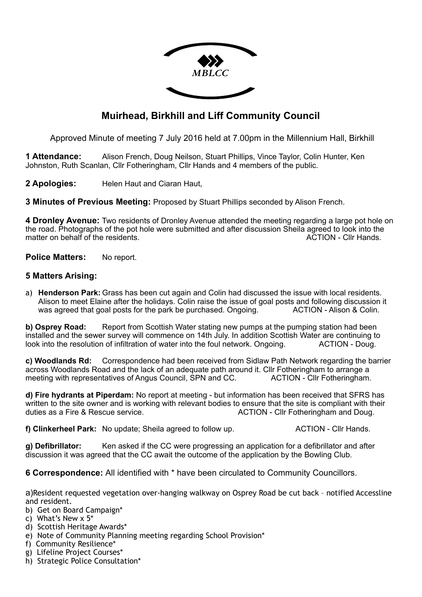

## **Muirhead, Birkhill and Liff Community Council**

Approved Minute of meeting 7 July 2016 held at 7.00pm in the Millennium Hall, Birkhill

**1 Attendance:** Alison French, Doug Neilson, Stuart Phillips, Vince Taylor, Colin Hunter, Ken Johnston, Ruth Scanlan, Cllr Fotheringham, Cllr Hands and 4 members of the public.

**2 Apologies:** Helen Haut and Ciaran Haut,

**3 Minutes of Previous Meeting:** Proposed by Stuart Phillips seconded by Alison French.

**4 Dronley Avenue:** Two residents of Dronley Avenue attended the meeting regarding a large pot hole on the road. Photographs of the pot hole were submitted and after discussion Sheila agreed to look into the matter on behalf of the residents. The residents of the residents of the residents.

**Police Matters:** No report.

## **5 Matters Arising:**

a) **Henderson Park:** Grass has been cut again and Colin had discussed the issue with local residents. Alison to meet Elaine after the holidays. Colin raise the issue of goal posts and following discussion it was agreed that goal posts for the park be purchased. Ongoing. ACTION - Alison & Colin.

**b) Osprey Road:** Report from Scottish Water stating new pumps at the pumping station had been installed and the sewer survey will commence on 14th July. In addition Scottish Water are continuing to look into the resolution of infiltration of water into the foul network. Ongoing. ACTION - Doug.

**c) Woodlands Rd:** Correspondence had been received from Sidlaw Path Network regarding the barrier across Woodlands Road and the lack of an adequate path around it. Cllr Fotheringham to arrange a meeting with representatives of Angus Council, SPN and CC. ACTION - Cllr Fotheringham.

**d) Fire hydrants at Piperdam:** No report at meeting - but information has been received that SFRS has written to the site owner and is working with relevant bodies to ensure that the site is compliant with their duties as a Fire & Rescue service. ACTION - Cllr Fotheringham and Doug.

**f) Clinkerheel Park:** No update; Sheila agreed to follow up. ACTION - Cllr Hands.

**g) Defibrillator:** Ken asked if the CC were progressing an application for a defibrillator and after discussion it was agreed that the CC await the outcome of the application by the Bowling Club.

**6 Correspondence:** All identified with \* have been circulated to Community Councillors.

a)Resident requested vegetation over-hanging walkway on Osprey Road be cut back – notified Accessline and resident.

- b) Get on Board Campaign\*
- c) What's New x 5\*
- d) Scottish Heritage Awards\*
- e) Note of Community Planning meeting regarding School Provision\*
- f) Community Resilience\*
- g) Lifeline Project Courses\*
- h) Strategic Police Consultation\*